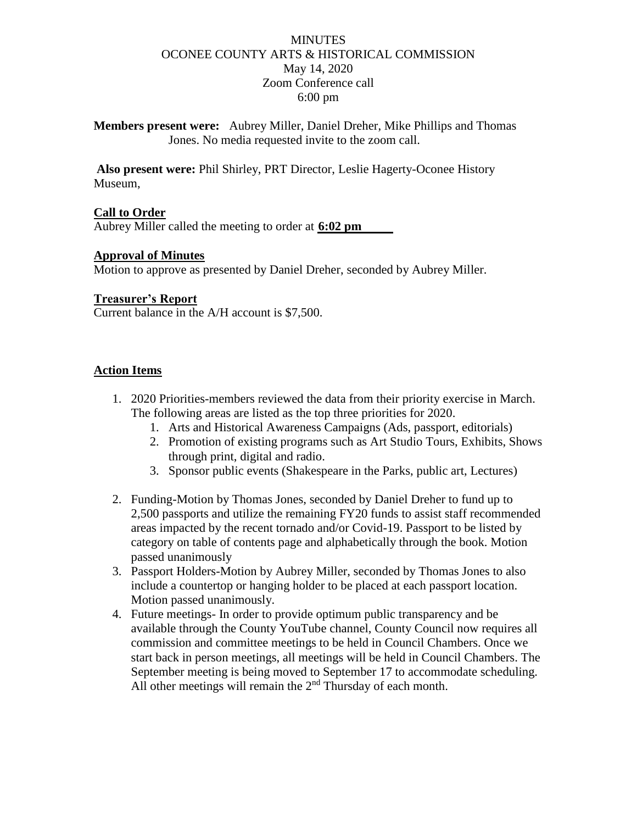### **MINUTES** OCONEE COUNTY ARTS & HISTORICAL COMMISSION May 14, 2020 Zoom Conference call 6:00 pm

**Members present were:** Aubrey Miller, Daniel Dreher, Mike Phillips and Thomas Jones. No media requested invite to the zoom call.

**Also present were:** Phil Shirley, PRT Director, Leslie Hagerty-Oconee History Museum,

### **Call to Order**

Aubrey Miller called the meeting to order at **6:02 pm**

### **Approval of Minutes**

Motion to approve as presented by Daniel Dreher, seconded by Aubrey Miller.

#### **Treasurer's Report**

Current balance in the A/H account is \$7,500.

#### **Action Items**

- 1. 2020 Priorities-members reviewed the data from their priority exercise in March. The following areas are listed as the top three priorities for 2020.
	- 1. Arts and Historical Awareness Campaigns (Ads, passport, editorials)
	- 2. Promotion of existing programs such as Art Studio Tours, Exhibits, Shows through print, digital and radio.
	- 3. Sponsor public events (Shakespeare in the Parks, public art, Lectures)
- 2. Funding-Motion by Thomas Jones, seconded by Daniel Dreher to fund up to 2,500 passports and utilize the remaining FY20 funds to assist staff recommended areas impacted by the recent tornado and/or Covid-19. Passport to be listed by category on table of contents page and alphabetically through the book. Motion passed unanimously
- 3. Passport Holders-Motion by Aubrey Miller, seconded by Thomas Jones to also include a countertop or hanging holder to be placed at each passport location. Motion passed unanimously.
- 4. Future meetings- In order to provide optimum public transparency and be available through the County YouTube channel, County Council now requires all commission and committee meetings to be held in Council Chambers. Once we start back in person meetings, all meetings will be held in Council Chambers. The September meeting is being moved to September 17 to accommodate scheduling. All other meetings will remain the 2<sup>nd</sup> Thursday of each month.